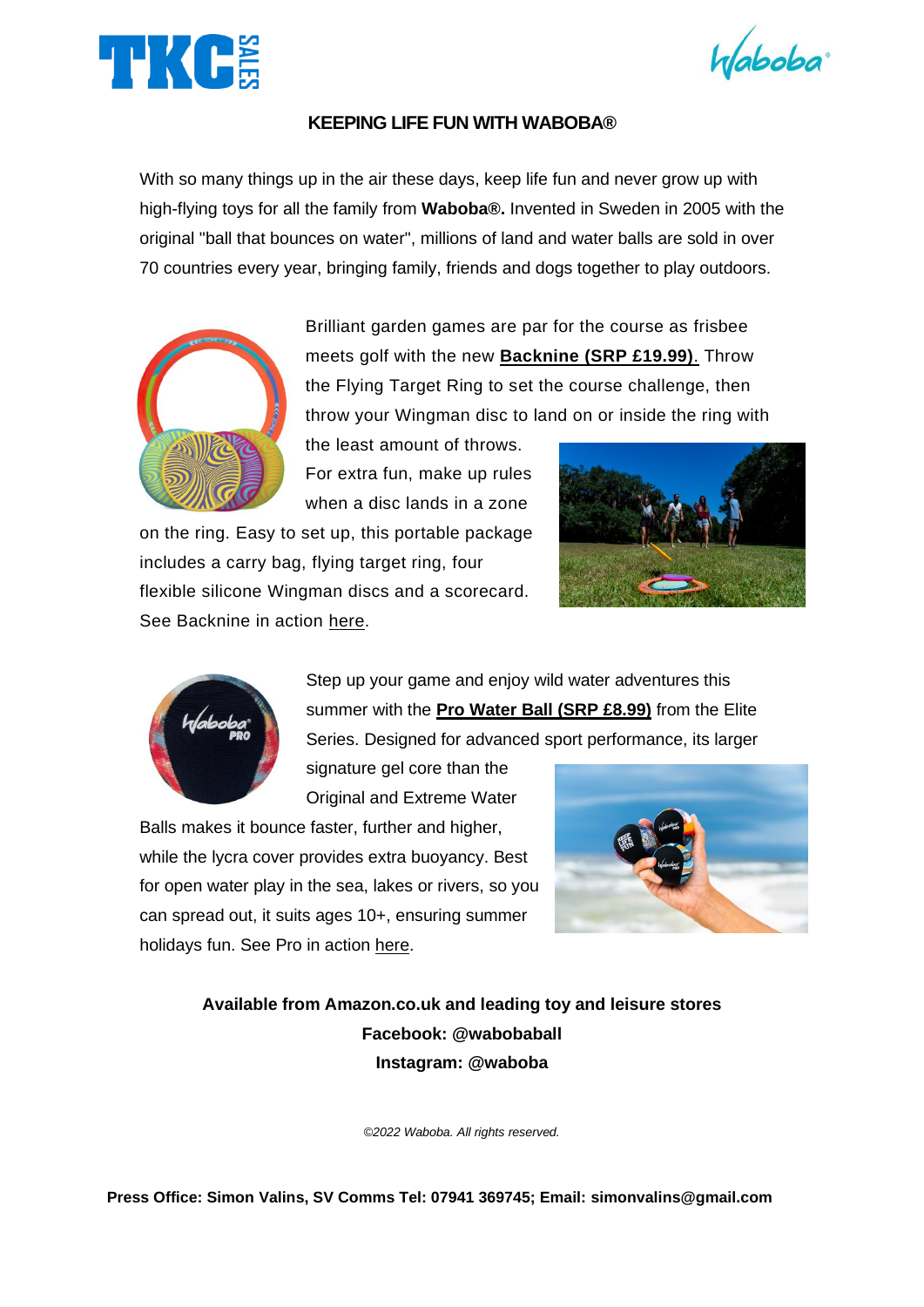



## **KEEPING LIFE FUN WITH WABOBA®**

With so many things up in the air these days, keep life fun and never grow up with high-flying toys for all the family from **Waboba®.** Invented in Sweden in 2005 with the original "ball that bounces on water", millions of land and water balls are sold in over 70 countries every year, bringing family, friends and dogs together to play outdoors.



Brilliant garden games are par for the course as frisbee meets golf with the new **[Backnine](https://www.amazon.co.uk/Waboba-591C01-Backnine/dp/B098XVSMST/ref=sr_1_1?crid=1DCSBWMYN6FY4&keywords=waboba+backnine&qid=1650898561&sprefix=waboba+backnine%2Caps%2C68&sr=8-1) (SRP £19.99)**. Throw the Flying Target Ring to set the course challenge, then throw your Wingman disc to land on or inside the ring with

the least amount of throws. For extra fun, make up rules when a disc lands in a zone

on the ring. Easy to set up, this portable package includes a carry bag, flying target ring, four flexible silicone Wingman discs and a scorecard. See Backnine in action [here.](https://youtu.be/lNzM-bjb2rI)





Step up your game and enjoy wild water adventures this summer with the **[Pro Water Ball \(SRP £8.99\)](https://www.amazon.co.uk/s?k=waboba+pro+ball&crid=NVK8J8GPZI55&sprefix=waboba+pro%2Caps%2C78&ref=nb_sb_ss_ts-doa-p_1_10)** from the Elite Series. Designed for advanced sport performance, its larger

signature gel core than the Original and Extreme Water

Balls makes it bounce faster, further and higher, while the lycra cover provides extra buoyancy. Best for open water play in the sea, lakes or rivers, so you can spread out, it suits ages 10+, ensuring summer holidays fun. See Pro in action [here.](https://youtu.be/OlOkbFx9160)



**Available from Amazon.co.uk and leading toy and leisure stores Facebook: @wabobaball Instagram: @waboba**

*©2022 Waboba. All rights reserved.*